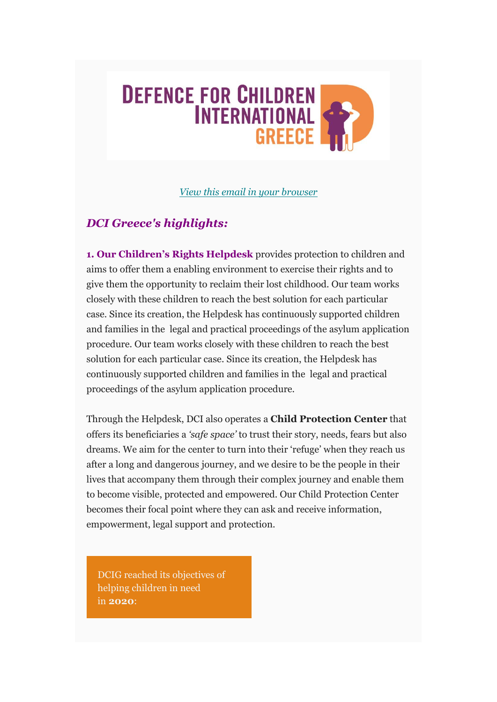# **DEFENCE FOR CHILDREN INTERNATIONAL GREECE**

*[View this email in your browser](https://mailchi.mp/c8f760c5a88e/dci-greece-april-newsletter?e=80becb2e5b)*

## *DCI Greece's highlights:*

**1. Our Children's Rights Helpdesk** provides protection to children and aims to offer them a enabling environment to exercise their rights and to give them the opportunity to reclaim their lost childhood. Our team works closely with these children to reach the best solution for each particular case. Since its creation, the Helpdesk has continuously supported children and families in the legal and practical proceedings of the asylum application procedure. Our team works closely with these children to reach the best solution for each particular case. Since its creation, the Helpdesk has continuously supported children and families in the legal and practical proceedings of the asylum application procedure.

Through the Helpdesk, DCI also operates a **Child Protection Center** that offers its beneficiaries a *'safe space'* to trust their story, needs, fears but also dreams. We aim for the center to turn into their 'refuge' when they reach us after a long and dangerous journey, and we desire to be the people in their lives that accompany them through their complex journey and enable them to become visible, protected and empowered. Our Child Protection Center becomes their focal point where they can ask and receive information, empowerment, legal support and protection.

DCIG reached its objectives of helping children in need in **2020**: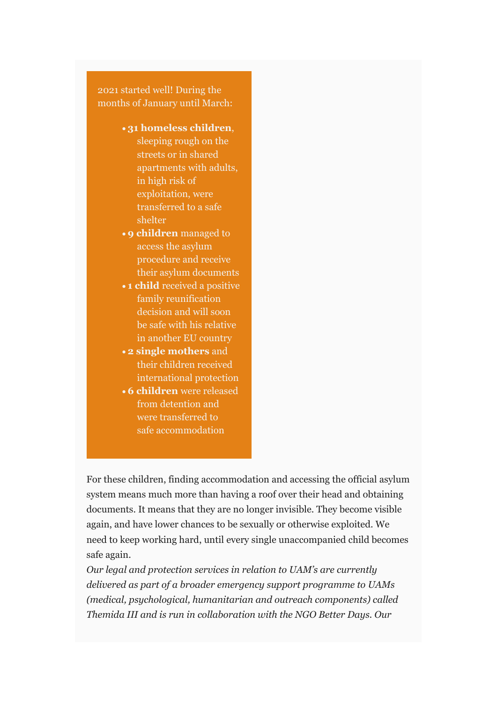months of January until March: 2021 started well! During the

- 31 homeless children, sleeping rough on the streets or in shared **100 martments with adults,** in high risk of the children we exploitation, were transferred to a safe *68* **shelter**
- **9 children** managed to access the asylum **1936 procedure and receive** their asylum documents
- **1 child** received a positive family reunification **85 of our cases of our cases of our cases of our cases of our cases of our cases of our cases of our cases** be safe with his relative in another EU country
- **2 single mothers** and their children received international protection
- **6 children** were released from detention and were transferred to safe accommodation

For these children, finding accommodation and accessing the official asylum system means much more than having a roof over their head and obtaining documents. It means that they are no longer invisible. They become visible again, and have lower chances to be sexually or otherwise exploited. We need to keep working hard, until every single unaccompanied child becomes safe again.

*Our legal and protection services in relation to UAM's are currently delivered as part of a broader emergency support programme to UAMs (medical, psychological, humanitarian and outreach components) called Themida III and is run in collaboration with the NGO Better Days. Our*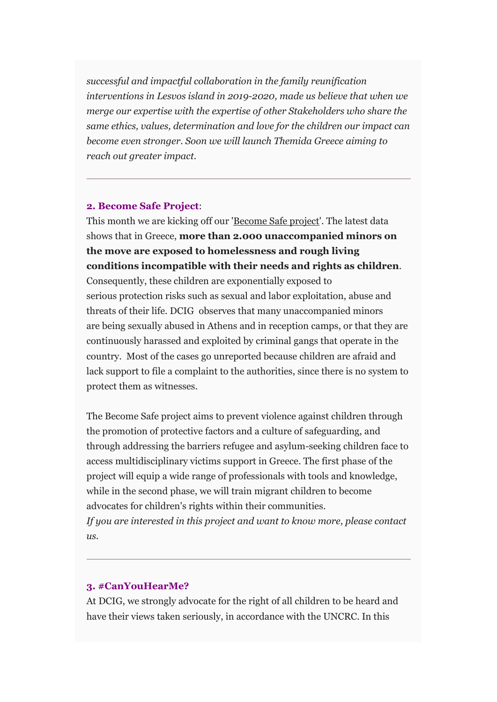*successful and impactful collaboration in the family reunification interventions in Lesvos island in 2019-2020, made us believe that when we merge our expertise with the expertise of other Stakeholders who share the same ethics, values, determination and love for the children our impact can become even stronger. Soon we will launch Themida Greece aiming to reach out greater impact.*

#### **2. Become Safe Project**:

This month we are kicking off our 'Become Safe project'. The latest data shows that in Greece, **more than 2.000 unaccompanied minors on the move are exposed to homelessness and rough living conditions incompatible with their needs and rights as children**. Consequently, these children are exponentially exposed to serious protection risks such as sexual and labor exploitation, abuse and threats of their life. DCIG observes that many unaccompanied minors are being sexually abused in Athens and in reception camps, or that they are continuously harassed and exploited by criminal gangs that operate in the country. Most of the cases go unreported because children are afraid and lack support to file a complaint to the authorities, since there is no system to protect them as witnesses.

The Become Safe project aims to prevent violence against children through the promotion of protective factors and a culture of safeguarding, and through addressing the barriers refugee and asylum-seeking children face to access multidisciplinary victims support in Greece. The first phase of the project will equip a wide range of professionals with tools and knowledge, while in the second phase, we will train migrant children to become advocates for children's rights within their communities. *If you are interested in this project and want to know more, please contact*   $\overline{u}$ 

#### **3. #CanYouHearMe?**

At DCIG, we strongly advocate for the right of all children to be heard and have their views taken seriously, in accordance with the UNCRC. In this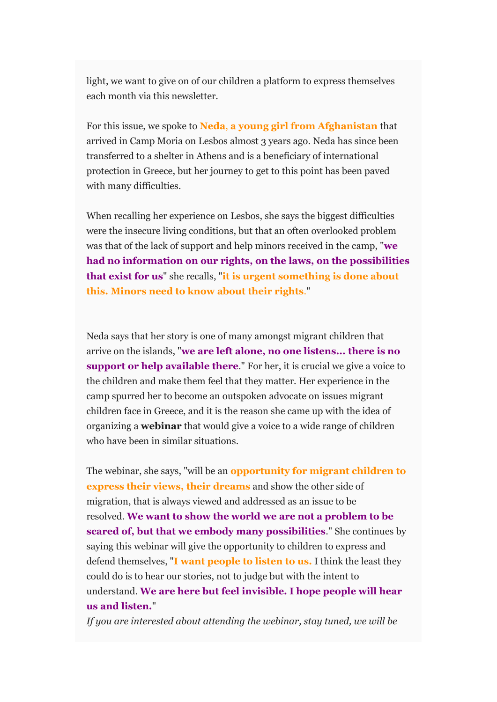light, we want to give on of our children a platform to express themselves each month via this newsletter.

For this issue, we spoke to **Neda**, **a young girl from Afghanistan** that arrived in Camp Moria on Lesbos almost 3 years ago. Neda has since been transferred to a shelter in Athens and is a beneficiary of international protection in Greece, but her journey to get to this point has been paved with many difficulties.

When recalling her experience on Lesbos, she says the biggest difficulties were the insecure living conditions, but that an often overlooked problem was that of the lack of support and help minors received in the camp, "**we had no information on our rights, on the laws, on the possibilities that exist for us**" she recalls, "**it is urgent something is done about this. Minors need to know about their rights**."

Neda says that her story is one of many amongst migrant children that arrive on the islands, "**we are left alone, no one listens... there is no support or help available there**." For her, it is crucial we give a voice to the children and make them feel that they matter. Her experience in the camp spurred her to become an outspoken advocate on issues migrant children face in Greece, and it is the reason she came up with the idea of organizing a **webinar** that would give a voice to a wide range of children who have been in similar situations.

The webinar, she says, "will be an **opportunity for migrant children to express their views, their dreams** and show the other side of migration, that is always viewed and addressed as an issue to be resolved. **We want to show the world we are not a problem to be scared of, but that we embody many possibilities**." She continues by saying this webinar will give the opportunity to children to express and defend themselves, "**I want people to listen to us.** I think the least they could do is to hear our stories, not to judge but with the intent to understand. **We are here but feel invisible. I hope people will hear us and listen.**"

*If you are interested about attending the webinar, stay tuned, we will be*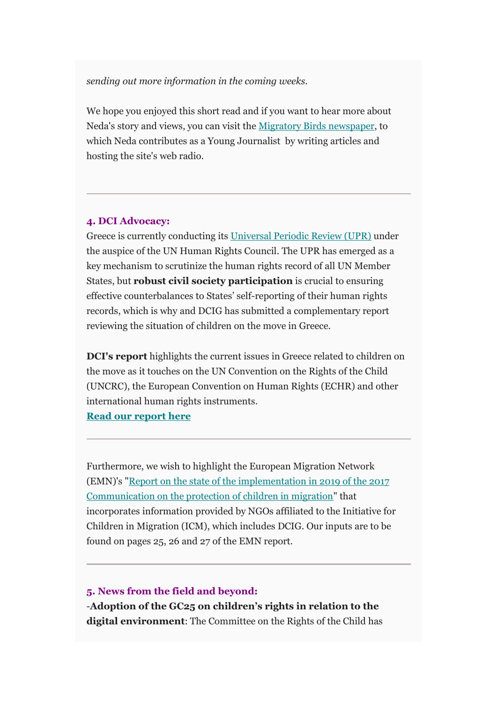*sending out more information in the coming weeks.*

We hope you enjoyed this short read and if you want to hear more about Neda's story and views, you can visit the [Migratory Birds newspaper,](https://gmail.us1.list-manage.com/track/click?u=96e38e4b4640b8fdb3adb83d3&id=aefed37c5e&e=80becb2e5b) to which Neda contributes as a Young Journalist by writing articles and hosting the site's web radio.

#### **4. DCI Advocacy:**

Greece is currently conducting its [Universal Periodic Review \(UPR\)](https://gmail.us1.list-manage.com/track/click?u=96e38e4b4640b8fdb3adb83d3&id=5a31f9b6bb&e=80becb2e5b) under the auspice of the UN Human Rights Council. The UPR has emerged as a key mechanism to scrutinize the human rights record of all UN Member States, but **robust civil society participation** is crucial to ensuring effective counterbalances to States' self-reporting of their human rights records, which is why and DCIG has submitted a complementary report reviewing the situation of children on the move in Greece.

**DCI's report** highlights the current issues in Greece related to children on the move as it touches on the UN Convention on the Rights of the Child (UNCRC), the European Convention on Human Rights (ECHR) and other international human rights instruments.

**[Read our report here](https://gmail.us1.list-manage.com/track/click?u=96e38e4b4640b8fdb3adb83d3&id=3cbfffb551&e=80becb2e5b)**

Furthermore, we wish to highlight the European Migration Network (EMN)'s ["Report on the state of the implementation in 2019 of the 2017](https://gmail.us1.list-manage.com/track/click?u=96e38e4b4640b8fdb3adb83d3&id=aef1b2735f&e=80becb2e5b)  [Communication on the protection of children in migration"](https://gmail.us1.list-manage.com/track/click?u=96e38e4b4640b8fdb3adb83d3&id=aef1b2735f&e=80becb2e5b) that incorporates information provided by NGOs affiliated to the Initiative for Children in Migration (ICM), which includes DCIG. Our inputs are to be found on pages 25, 26 and 27 of the EMN report.

#### **5. News from the field and beyond:**

-**Adoption of the GC25 on children's rights in relation to the digital environment**: The Committee on the Rights of the Child has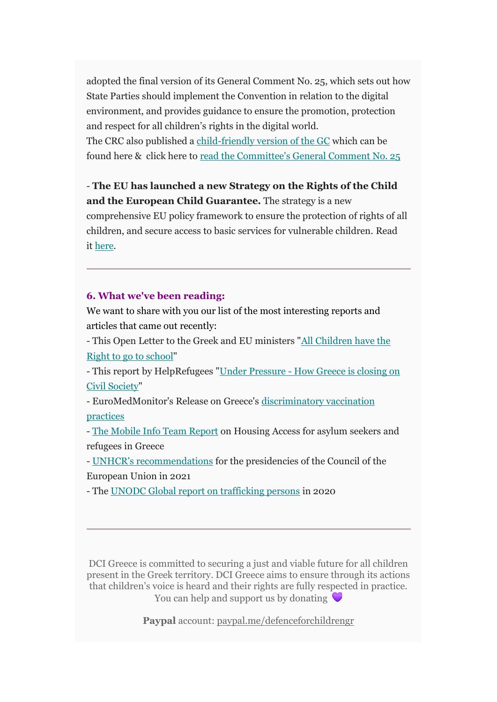adopted the final version of its General Comment No. 25, which sets out how State Parties should implement the Convention in relation to the digital environment, and provides guidance to ensure the promotion, protection and respect for all children's rights in the digital world.

The CRC also published a [child-friendly version of the GC](https://gmail.us1.list-manage.com/track/click?u=96e38e4b4640b8fdb3adb83d3&id=62e852208e&e=80becb2e5b) which can be found here & click here to [read the Committee's General Comment No. 25](https://gmail.us1.list-manage.com/track/click?u=96e38e4b4640b8fdb3adb83d3&id=b8f2b642b9&e=80becb2e5b)

- **The EU has launched a new Strategy on the Rights of the Child and the European Child Guarantee.** The strategy is a new comprehensive EU policy framework to ensure the protection of rights of all children, and secure access to basic services for vulnerable children. Read it [here.](https://gmail.us1.list-manage.com/track/click?u=96e38e4b4640b8fdb3adb83d3&id=158fe1ed0f&e=80becb2e5b)

### **6. What we've been reading:**

We want to share with you our list of the most interesting reports and articles that came out recently:

- This Open Letter to the Greek and EU ministers ["All Children have the](https://gmail.us1.list-manage.com/track/click?u=96e38e4b4640b8fdb3adb83d3&id=503d2cf0be&e=80becb2e5b)  [Right to go to school"](https://gmail.us1.list-manage.com/track/click?u=96e38e4b4640b8fdb3adb83d3&id=503d2cf0be&e=80becb2e5b)

- This report by HelpRefugees "Under Pressure - [How Greece is closing on](https://gmail.us1.list-manage.com/track/click?u=96e38e4b4640b8fdb3adb83d3&id=2478c3cd15&e=80becb2e5b)  [Civil Society"](https://gmail.us1.list-manage.com/track/click?u=96e38e4b4640b8fdb3adb83d3&id=2478c3cd15&e=80becb2e5b)

- EuroMedMonitor's Release on Greece's [discriminatory vaccination](https://gmail.us1.list-manage.com/track/click?u=96e38e4b4640b8fdb3adb83d3&id=ff441a0986&e=80becb2e5b)  [practices](https://gmail.us1.list-manage.com/track/click?u=96e38e4b4640b8fdb3adb83d3&id=ff441a0986&e=80becb2e5b)

- [The Mobile Info Team Report](https://gmail.us1.list-manage.com/track/click?u=96e38e4b4640b8fdb3adb83d3&id=9cc46d5656&e=80becb2e5b) on Housing Access for asylum seekers and refugees in Greece

- [UNHCR's recommendations](https://gmail.us1.list-manage.com/track/click?u=96e38e4b4640b8fdb3adb83d3&id=6e69b69f7c&e=80becb2e5b) for the presidencies of the Council of the European Union in 2021

- The [UNODC Global report on trafficking persons](https://gmail.us1.list-manage.com/track/click?u=96e38e4b4640b8fdb3adb83d3&id=f5bb5fbbd3&e=80becb2e5b) in 2020

DCI Greece is committed to securing a just and viable future for all children present in the Greek territory. DCI Greece aims to ensure through its actions that children's voice is heard and their rights are fully respected in practice. You can help and support us by donating  $\bigtriangledown$ 

**Paypal** account: [paypal.me/defenceforchildrengr](https://gmail.us1.list-manage.com/track/click?u=96e38e4b4640b8fdb3adb83d3&id=c37caffb39&e=80becb2e5b)